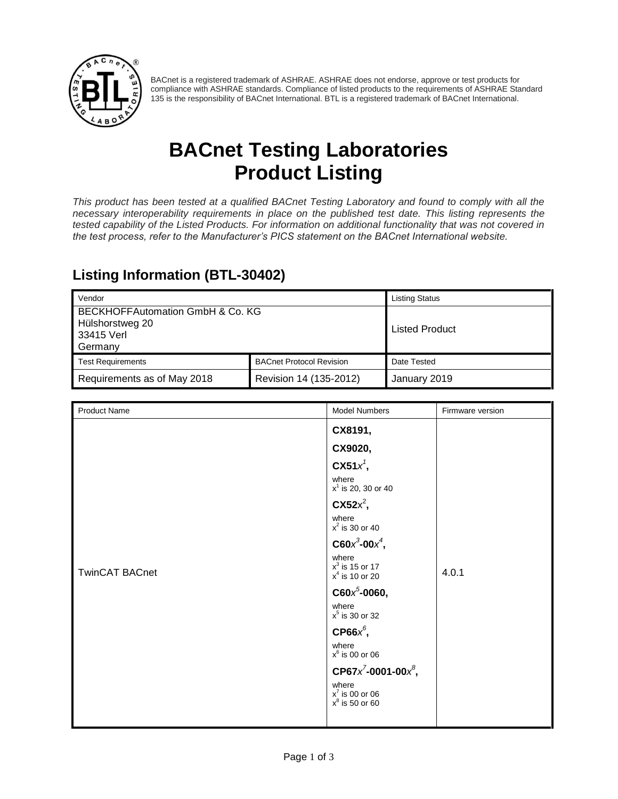

BACnet is a registered trademark of ASHRAE. ASHRAE does not endorse, approve or test products for compliance with ASHRAE standards. Compliance of listed products to the requirements of ASHRAE Standard 135 is the responsibility of BACnet International. BTL is a registered trademark of BACnet International.

# **BACnet Testing Laboratories Product Listing**

*This product has been tested at a qualified BACnet Testing Laboratory and found to comply with all the necessary interoperability requirements in place on the published test date. This listing represents the tested capability of the Listed Products. For information on additional functionality that was not covered in the test process, refer to the Manufacturer's PICS statement on the BACnet International website.*

#### **Listing Information (BTL-30402)**

| Vendor                                                                       |                                 | <b>Listing Status</b> |
|------------------------------------------------------------------------------|---------------------------------|-----------------------|
| BECKHOFFAutomation GmbH & Co. KG<br>Hülshorstweg 20<br>33415 Verl<br>Germany |                                 | <b>Listed Product</b> |
| <b>Test Requirements</b>                                                     | <b>BACnet Protocol Revision</b> | Date Tested           |
| Requirements as of May 2018                                                  | Revision 14 (135-2012)          | January 2019          |

| <b>Product Name</b>   | <b>Model Numbers</b>                                                         | Firmware version |
|-----------------------|------------------------------------------------------------------------------|------------------|
|                       | CX8191,                                                                      |                  |
|                       | CX9020,                                                                      |                  |
|                       | $\mathbf{C} \mathbf{X}$ 51 $x^7$ ,                                           |                  |
|                       | where<br>$x^1$ is 20, 30 or 40                                               |                  |
|                       | $\text{CX52x}^2$ ,                                                           |                  |
|                       | where<br>$x^2$ is 30 or 40                                                   |                  |
|                       | $C60x^3-00x^4$ ,<br>where<br>$x^3$ is 15 or 17<br>4.0.1<br>$x^4$ is 10 or 20 |                  |
| <b>TwinCAT BACnet</b> |                                                                              |                  |
|                       | $C60x^5$ -0060,                                                              |                  |
|                       | where<br>$x^5$ is 30 or 32<br>CP66 $x^6$ ,                                   |                  |
|                       |                                                                              |                  |
|                       | where<br>$x^6$ is 00 or 06                                                   |                  |
|                       | CP67 $x^7$ -0001-00 $x^8$ ,                                                  |                  |
|                       | where<br>$x^7$ is 00 or 06<br>$x^8$ is 50 or 60                              |                  |
|                       |                                                                              |                  |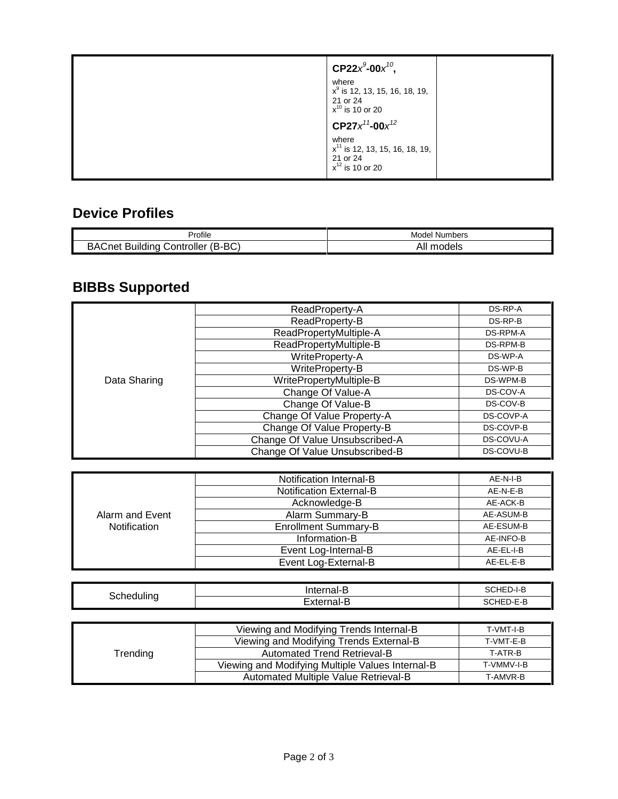| CP22 $x^9$ -00 $x^{10}$ ,<br>where<br>$x^9$ is 12, 13, 15, 16, 18, 19,<br>21 or 24<br>$x^{10}$ is 10 or 20 |  |
|------------------------------------------------------------------------------------------------------------|--|
| $CP27x^{11}$ -00 $x^{12}$                                                                                  |  |
| where<br>$x^{11}$ is 12, 13, 15, 16, 18, 19,<br>21 or 24<br>$x^{12}$ is 10 or 20                           |  |

#### **Device Profiles**

|                                                                              | Model                   |
|------------------------------------------------------------------------------|-------------------------|
| ∾rofile                                                                      | : Numbers               |
| D <sub>O</sub><br>م∧ط<br>'Q<br>-<br>じontroller<br>Buildina<br>∴net<br>ו טם-ם | .<br>ΔΗ<br>odels<br>וור |

## **BIBBs Supported**

|              | ReadProperty-A                 | DS-RP-A   |
|--------------|--------------------------------|-----------|
|              | ReadProperty-B                 | DS-RP-B   |
|              | ReadPropertyMultiple-A         | DS-RPM-A  |
|              | ReadPropertyMultiple-B         | DS-RPM-B  |
|              | WriteProperty-A                | DS-WP-A   |
| Data Sharing | WriteProperty-B                | DS-WP-B   |
|              | WritePropertyMultiple-B        | DS-WPM-B  |
|              | Change Of Value-A              | DS-COV-A  |
|              | Change Of Value-B              | DS-COV-B  |
|              | Change Of Value Property-A     | DS-COVP-A |
|              | Change Of Value Property-B     | DS-COVP-B |
|              | Change Of Value Unsubscribed-A | DS-COVU-A |
|              | Change Of Value Unsubscribed-B | DS-COVU-B |

|                 | Notification Internal-B        | AE-N-I-B  |
|-----------------|--------------------------------|-----------|
|                 | <b>Notification External-B</b> | AE-N-E-B  |
|                 | Acknowledge-B                  | AE-ACK-B  |
| Alarm and Event | Alarm Summary-B                | AE-ASUM-B |
| Notification    | <b>Enrollment Summary-B</b>    | AE-ESUM-B |
|                 | Information-B                  | AE-INFO-B |
|                 | Event Log-Internal-B           | AE-EL-I-B |
|                 | Event Log-External-B           | AE-EL-E-B |

| -<br>-<br>-- |        | -<br>,,,,,, |
|--------------|--------|-------------|
|              | -<br>– | $- - - -$   |

|          | Viewing and Modifying Trends Internal-B          | T-VMT-I-B  |
|----------|--------------------------------------------------|------------|
|          | Viewing and Modifying Trends External-B          | T-VMT-E-B  |
| Trending | <b>Automated Trend Retrieval-B</b>               | T ATR-B    |
|          | Viewing and Modifying Multiple Values Internal-B | T-VMMV-I-B |
|          | Automated Multiple Value Retrieval-B             | T-AMVR-B   |